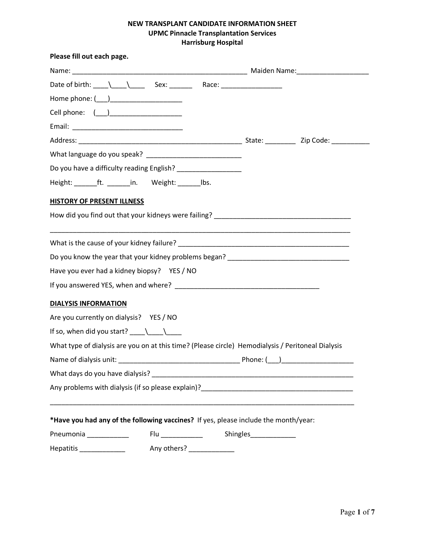# **NEW TRANSPLANT CANDIDATE INFORMATION SHEET UPMC Pinnacle Transplantation Services Harrisburg Hospital**

| Please fill out each page.                                                                        |                            |                       |  |
|---------------------------------------------------------------------------------------------------|----------------------------|-----------------------|--|
|                                                                                                   |                            |                       |  |
|                                                                                                   |                            |                       |  |
|                                                                                                   |                            |                       |  |
|                                                                                                   |                            |                       |  |
|                                                                                                   |                            |                       |  |
|                                                                                                   |                            |                       |  |
|                                                                                                   |                            |                       |  |
| Do you have a difficulty reading English? ____________________                                    |                            |                       |  |
| Height: ________ft. ________ in. Weight: ________ lbs.                                            |                            |                       |  |
| HISTORY OF PRESENT ILLNESS                                                                        |                            |                       |  |
|                                                                                                   |                            |                       |  |
|                                                                                                   |                            |                       |  |
|                                                                                                   |                            |                       |  |
| Have you ever had a kidney biopsy? YES / NO                                                       |                            |                       |  |
|                                                                                                   |                            |                       |  |
| <b>DIALYSIS INFORMATION</b>                                                                       |                            |                       |  |
| Are you currently on dialysis? YES / NO                                                           |                            |                       |  |
| If so, when did you start? $\_\_\_\_\_\_\_\_\_\_\_\_\$                                            |                            |                       |  |
| What type of dialysis are you on at this time? (Please circle) Hemodialysis / Peritoneal Dialysis |                            |                       |  |
|                                                                                                   |                            |                       |  |
|                                                                                                   |                            |                       |  |
|                                                                                                   |                            |                       |  |
| *Have you had any of the following vaccines? If yes, please include the month/year:               |                            |                       |  |
| Pneumonia __________                                                                              | Flu ______________         | Shingles_____________ |  |
| Hepatitis ______________                                                                          | Any others? ______________ |                       |  |
|                                                                                                   |                            |                       |  |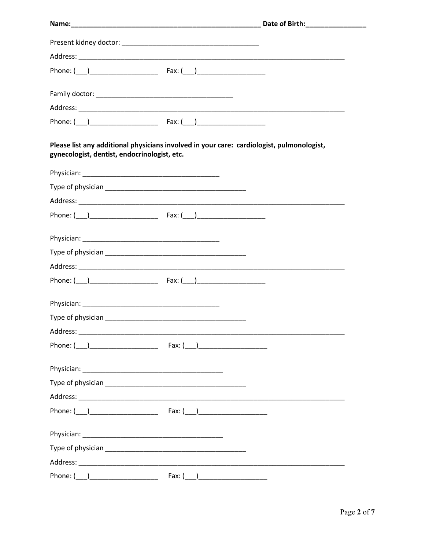| Please list any additional physicians involved in your care: cardiologist, pulmonologist,<br>gynecologist, dentist, endocrinologist, etc. |  |
|-------------------------------------------------------------------------------------------------------------------------------------------|--|
|                                                                                                                                           |  |
|                                                                                                                                           |  |
|                                                                                                                                           |  |
|                                                                                                                                           |  |
|                                                                                                                                           |  |
|                                                                                                                                           |  |
|                                                                                                                                           |  |
|                                                                                                                                           |  |
|                                                                                                                                           |  |
|                                                                                                                                           |  |
|                                                                                                                                           |  |
|                                                                                                                                           |  |
|                                                                                                                                           |  |
|                                                                                                                                           |  |
|                                                                                                                                           |  |
|                                                                                                                                           |  |
|                                                                                                                                           |  |
|                                                                                                                                           |  |
|                                                                                                                                           |  |
|                                                                                                                                           |  |

-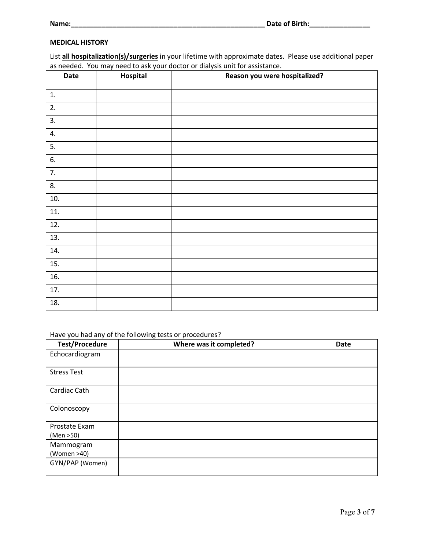## **MEDICAL HISTORY**

List **all hospitalization(s)/surgeries** in your lifetime with approximate dates. Please use additional paper as needed. You may need to ask your doctor or dialysis unit for assistance.

| Date | Hospital | Reason you were hospitalized? |
|------|----------|-------------------------------|
| 1.   |          |                               |
| 2.   |          |                               |
| 3.   |          |                               |
| 4.   |          |                               |
| 5.   |          |                               |
| 6.   |          |                               |
| 7.   |          |                               |
| 8.   |          |                               |
| 10.  |          |                               |
| 11.  |          |                               |
| 12.  |          |                               |
| 13.  |          |                               |
| 14.  |          |                               |
| 15.  |          |                               |
| 16.  |          |                               |
| 17.  |          |                               |
| 18.  |          |                               |

#### Have you had any of the following tests or procedures?

| <b>Test/Procedure</b>      | Where was it completed? | <b>Date</b> |
|----------------------------|-------------------------|-------------|
| Echocardiogram             |                         |             |
| <b>Stress Test</b>         |                         |             |
| Cardiac Cath               |                         |             |
| Colonoscopy                |                         |             |
| Prostate Exam<br>(Men >50) |                         |             |
| Mammogram<br>(Women >40)   |                         |             |
| GYN/PAP (Women)            |                         |             |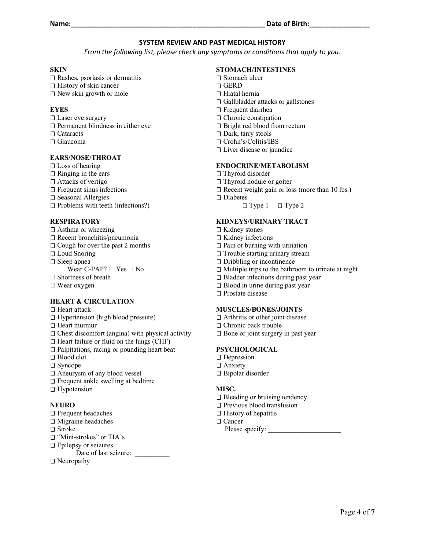#### **SYSTEM REVIEW AND PAST MEDICAL HISTORY**

*From the following list, please check any symptoms or conditions that apply to you.*

#### **SKIN**

 $\square$  Rashes, psoriasis or dermatitis  $\Box$  History of skin cancer  $\Box$  New skin growth or mole

#### **EYES**

- Laser eye surgery
- $\square$  Permanent blindness in either eye □ Cataracts
- Glaucoma

#### **EARS/NOSE/THROAT**

 $\square$  Loss of hearing  $\Box$  Ringing in the ears □ Attacks of vertigo  $\square$  Frequent sinus infections  $\square$  Seasonal Allergies  $\square$  Problems with teeth (infections?)

## **RESPIRATORY**

- $\Box$  Asthma or wheezing Recent bronchitis/pneumonia  $\square$  Cough for over the past 2 months □ Loud Snoring □ Sleep apnea Wear C-PAP?  $\Box$  Yes  $\Box$  No □ Shortness of breath
- 
- $\Box$  Wear oxygen

## **HEART & CIRCULATION**

### □ Heart attack

- $\Box$  Hypertension (high blood pressure)
- □ Heart murmur
- $\Box$  Chest discomfort (angina) with physical activity
- $\Box$  Heart failure or fluid on the lungs (CHF)
- $\Box$  Palpitations, racing or pounding heart beat
- Blood clot
- □ Syncope
- Aneurysm of any blood vessel
- $\square$  Frequent ankle swelling at bedtime
- □ Hypotension

## **NEURO**

- Frequent headaches
- $\Box$  Migraine headaches
- Stroke
- □ "Mini-strokes" or TIA's
- □ Epilepsy or seizures

Date of last seizure:

□ Neuropathy

#### **STOMACH/INTESTINES**

- □ Stomach ulcer
- GERD
- $\Box$  Hiatal hernia
- $\hfill\Box$ Gallbladder attacks or gallstones
- □ Frequent diarrhea
- □ Chronic constipation
- □ Bright red blood from rectum
- □ Dark, tarry stools
- Crohn's/Colitis/IBS
- □ Liver disease or jaundice

#### **ENDOCRINE/METABOLISM**

- $\Box$  Thyroid disorder
- $\Box$  Thyroid nodule or goiter
- $\Box$  Recent weight gain or loss (more than 10 lbs.)
- □ Diabetes

## **KIDNEYS/URINARY TRACT**

- □ Kidney stones
- $\square$  Kidney infections
- $\Box$  Pain or burning with urination
- □ Trouble starting urinary stream
- □ Dribbling or incontinence
- $\Box$  Multiple trips to the bathroom to urinate at night
- □ Bladder infections during past year
- □ Blood in urine during past year
- □ Prostate disease

## **MUSCLES/BONES/JOINTS**

- $\Box$  Arthritis or other joint disease
- □ Chronic back trouble
- $\square$  Bone or joint surgery in past year

#### **PSYCHOLOGICAL**

- □ Depression
- □ Anxiety
- Bipolar disorder

## **MISC.**

- □ Bleeding or bruising tendency
- $\square$  Previous blood transfusion
- $\Box$  History of hepatitis
- □ Cancer

Please specify:

 $\Box$  Type 1  $\Box$  Type 2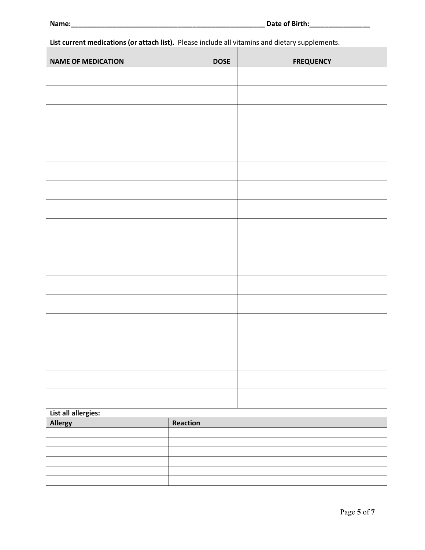**List current medications (or attach list).** Please include all vitamins and dietary supplements.

| <b>NAME OF MEDICATION</b> | <b>DOSE</b> | <b>FREQUENCY</b> |
|---------------------------|-------------|------------------|
|                           |             |                  |
|                           |             |                  |
|                           |             |                  |
|                           |             |                  |
|                           |             |                  |
|                           |             |                  |
|                           |             |                  |
|                           |             |                  |
|                           |             |                  |
|                           |             |                  |
|                           |             |                  |
|                           |             |                  |
|                           |             |                  |
|                           |             |                  |
|                           |             |                  |
|                           |             |                  |
|                           |             |                  |
|                           |             |                  |

# **List all allergies:**

| Allergy | Reaction |
|---------|----------|
|         |          |
|         |          |
|         |          |
|         |          |
|         |          |
|         |          |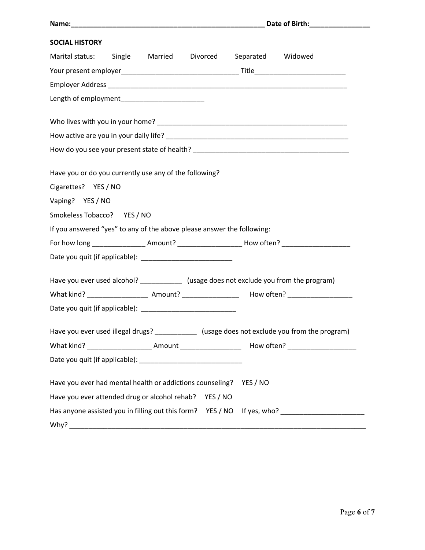| <b>SOCIAL HISTORY</b>                                                                               |  |  |  |
|-----------------------------------------------------------------------------------------------------|--|--|--|
| Marital status: Single Married Divorced Separated Widowed                                           |  |  |  |
|                                                                                                     |  |  |  |
|                                                                                                     |  |  |  |
| Length of employment__________________________                                                      |  |  |  |
|                                                                                                     |  |  |  |
|                                                                                                     |  |  |  |
|                                                                                                     |  |  |  |
|                                                                                                     |  |  |  |
| Have you or do you currently use any of the following?                                              |  |  |  |
| Cigarettes? YES / NO                                                                                |  |  |  |
| Vaping? YES / NO                                                                                    |  |  |  |
| Smokeless Tobacco? YES / NO                                                                         |  |  |  |
| If you answered "yes" to any of the above please answer the following:                              |  |  |  |
| For how long ___________________Amount? _______________________How often? _________________________ |  |  |  |
|                                                                                                     |  |  |  |
| Have you ever used alcohol? _____________ (usage does not exclude you from the program)             |  |  |  |
|                                                                                                     |  |  |  |
|                                                                                                     |  |  |  |
|                                                                                                     |  |  |  |
| Have you ever used illegal drugs? _____________ (usage does not exclude you from the program)       |  |  |  |
|                                                                                                     |  |  |  |
|                                                                                                     |  |  |  |
| Have you ever had mental health or addictions counseling? YES / NO                                  |  |  |  |
| Have you ever attended drug or alcohol rehab?<br>YES / NO                                           |  |  |  |
| Has anyone assisted you in filling out this form? YES / NO If yes, who? ___________________________ |  |  |  |
|                                                                                                     |  |  |  |